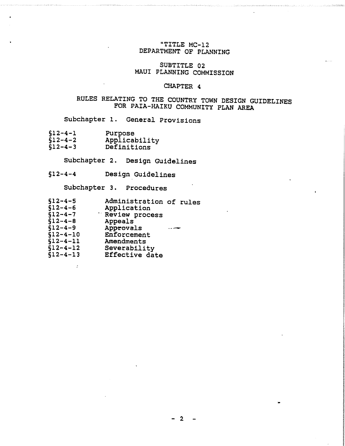# "TITLE MC-12 DEPARTMENT OF PLANNING

# SUBTITLE 02 MAUI PLANNING COMMISSION

## CHAPTER 4

# RULES RELATING TO THE COUNTRY TOWN DESIGN GUIDELINES FOR PAIA-HAIKU COMMUNITY PLAN AREA

Subchapter 1. General Provisions

- §12-4-1 Purpose
- $$12-4-2$ Applicability<br>Definitions
- §12-4-3

Subchapter 2. Design Guidelines

§12-4-4 Design Guidelines

Subchapter 3. Procedures

| $$12 - 4 - 5$<br>$$12 - 4 - 6$ | Administration of rules<br>Application |  |
|--------------------------------|----------------------------------------|--|
| $$12 - 4 - 7$                  | Review process                         |  |
| $$12 - 4 - 8$<br>$$12 - 4 - 9$ | Appeals<br>Approvals                   |  |
| $$12 - 4 - 10$                 | Enforcement                            |  |
| $$12 - 4 - 11$                 | Amendments                             |  |
| $$12 - 4 - 12$                 | Severability                           |  |
| $$12 - 4 - 13$                 | Effective date                         |  |

•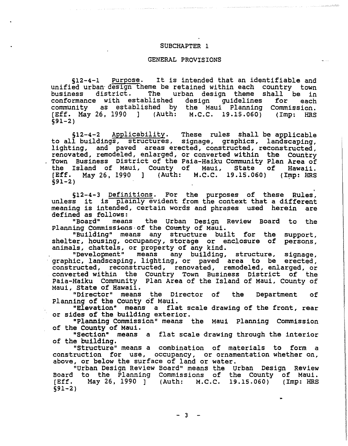### SUBCHAPTER 1

#### GENERAL PROVISIONS

512-4-1 purpose. It is intended that an identifiable and unified urban-design theme be retained within each country town<br>business district. The urban design theme shall be in urban design theme shall be in<br>ed design quidelines for each conformance with established community as established by the Maui Planning COmmission. [Eff. May 26, 1990 1 (Auth: M.C.C. 19.15.060) (Imp: HRS 591-2)

512-4-2 Applicability. These rules shall be applicable to all buildings, structures, signage, graphics, landscaping, lighting, and paved areas erected, constructed, reconstructed, renovated, remodeled, enlarged, or converted within the Country Town Business District of the Paia-Haiku Community Plan Area of the Island of Maui, County of Maui, State of Hawaii. [Eff. May 26, 1990 ] (Auth: M.C.C. 19.15.060) (Imp: HRS  $591 - 2)$ 

. 512-4-3 Definitions. For the purposes of these Rules, unless it is plainly evident from the context that a different meaning is intended, certain words and phrases used herein are defined as follows:

"Board" means the Urban Design Review Board to the Planning Commissions of the County of Maui.

"Building" means any structure built for the shelter, housing, occupancy, storage or enclosure of animals, chattels, or property of any kind.<br>"Development" means any building, support, persons,

means any building, structure, signage, graphic, landscaping, lighting, or paved area to be erected, constructed, reconstructed, renovated, remodeled, enlarged, or converted within the Country Town Business District of the Paia-Haiku Community plan Area of the Island of Maui, County of Maui, State of Hawaii.

"Director" means the Director of planning of the County of Maui. the Department of

"Elevation" means a flat scale drawing of the front, rear or sides of the building exterior.

"Planning Commission" means the Maui Planning Commission of the County of Maui.

"Section" means a flat scale drawing through the interior of the building.

"Structure" means a combination of materials to form a construction for use, occupancy, or ornamentation whether on, above, or below the surface of land or water.

"Urban Design Review Board" means the Urban DeSign Review Board to the Planning Commissions of the County of Maui.<br>[Eff. May 26, 1990 ] (Auth: M.C.C. 19.15.060) (Imp: HRS [Eff. May 26, 1990 ] (Auth: M.C.C. §91-2)

•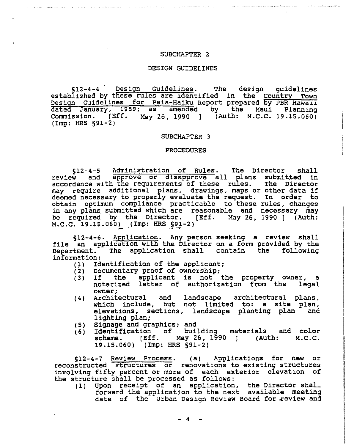#### SUBCHAPTER 2

#### DESIGN GUIDELINES

§12-4-4 Design Guidelines. The design guidelines established by these rules are identified in the Country Town Design Guidelines for Paia-Haiku Report prepared by PBR Hawaii dated January, 1989; as amended by the Maui Planning<br>Commission. [Eff. May 26, 1990 1 (Auth: M.C.C. 19.15.060) May 26, 1990 ] (Auth: M.C.C. 19.15.060) (Imp: HRS §91-2)

#### SUBCHAPTER 3

#### PROCEDURES

§12-4-5 Administration of Rules. The Director shall<br>review and approve or disapprove all plans submitted in approve or disapprove all plans submitted in accordance with the requirements of these rules. The Director accordance with the requirements of these fulles. The Director deemed necessary to properly evaluate the request. In order to obtain optimum compliance practicable to these rules, changes in any plans submitted which are reasonable and necessary may be required by the Director. [Eff. May 26, 1990 ] (Auth: M.C.C. 19.15.060) (Imp: HRS §91-2)

§12-4-6. Application. Any person seeking a review shall file an application with the Director on a form provided by the Department. The application shall contain the following information:<br>(1) Id

- (1) Identification of the applicant;
- (2) Documentary proof of ownership;
- (2) Documentary proof of ownership;<br>(3) If the applicant is not the property owner, a<br>notarized letter of authorization from the legal notarized letter of authorization from the owner;
- $(4)$ Architectural and landscape architectural plans, which include, but not limited to: a site plan, elevations, sections, landscape planting plan and lighting plan;
- ( 5 ) Signage and graphics; and
- ( 6 ) Identification of building materials and color scheme. [Eff. 19.15.060) (Imp: HRS §91-2) May 26, 1990 ] (Auth: M.C.C.

§12-4-7 Review Process. (a) Applications for new or reconstructed structures or renovations to existing structures involving fifty percent or more of each exterior elevation of the structure shall be processed as follows:

(1) upon receipt of an application, the Director shall forward the application to the next available meeting date of the Urban Design Review Board for review and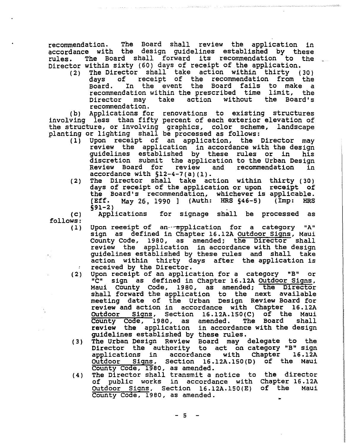recommendation. The Board shall review the application in accordance with the design guidelines established by these rules. The Board shall forward its recommendation to the Director within sixty (60) days of receipt of the application.

(2) The Director shall take action within thirty (30) days of receipt of the recommendation from the Board. In the event the Board fails to make a recommendation within the prescribed time limit, the Director may take action recommendation.

(b) Applications for renovations to existing structures involving less than fifty percent of each exterior elevation of the structure, or involving graphics, color scheme, landscape planting or lighting shall be processed as follows:

- (1) Upon receipt of an application, the Director may review the application in accordance with the design guidelines established by these rules or in his discretion submit the application to the Urban Design Review Board for review and recommendation in accordance with 512-4-7(a)(1).
- (2) The Director shall take action within thirty (30) days of receipt of the application or upon receipt of the Board's recommendation, whichever is applicable. [Eff. May 26, 1990 1 (Auth: HRS §46-5) §91-2) (Imp: HRS

 $(C)$ 

follows:

Applications for signage shall be processed as

- $(1)$ Upon reeeipt of an··~plication for a category "A" sign as defined in Chapter 16.12A Outdoor Signs, Maui County Code, 1980, as amended; the Director shall review the application in accordance with the design guidelines established by these rules and shall take action within thirty days after the application is received by the Director.
- $(2)$ Upon receipt of an application for a category "B" or<br>"C" sign as defined in Chapter 16.12A Outdoor Signs. sign as defined in Chapter 16.12A Outdoor Signs, Maui County Code, 1980, as amended; the Director shall forward the application to the next available meeting date of the Urban Design Review Board for review and action in accordance with Chapter 16.12A OUtdoor Signs, Section 16.12A.150(C) of the Maui County Code, 1980, as amended. The Board shall review the application in accordance with the design guidelines established by these rules.
- $(3)$ The Urban Design Review Board may delegate to the Director the authority to act on category "B" sign applications in accordance with Chapter 16.12A OUtdoor Signs, Section 16.12A.150(D) of the Maui County Code, 1980, as amended.
- $(4)$ The Director shall transmit a notice to the director of public works in accordance with Chapter 16.12A OUtdoor Signs, Section 16.12A.1S0(E) of the Maui County Code, 1980, as amended.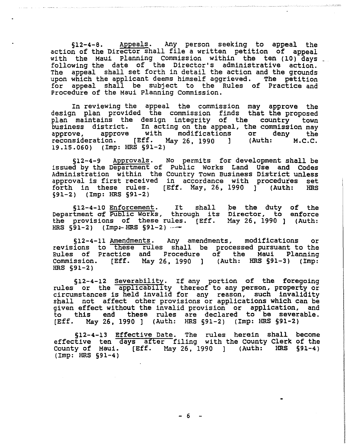§12-4-8. Appeals. Any person seeking to appeal the action of the Director shall file a written petition of appeal with the Maui Planning Commission within the ten (10) days following the date of the Director's administrative action. The appeal shall set forth in detail the action and the grounds upon which the applicant deems himself aggrieved. The petition for appeal shall be subject to the Rules of Practice and Procedure of the Maui planning Commission.

In reviewing the appeal the commission may approve the design plan provided the commission finds that the proposed plan maintains the design integrity of the country town business district. In acting on the appeal, the commission may approve, approve with modifications or deny the reconsideration. [Eff. May 26, 1990 1 (Auth: M.C.C. 19.15.060) (Imp: HRS §91-2)

§12-4-9 Approvals. No permits for development shall be issued by the Department of Public works Land Use and Codes Administration within the Country Town Business District unless approval is first received in accordance with procedures set forth in these rules. [Eff. May, 26, 1990 ] (Auth: HRS 591-2) (Imp: HRS §91-2)

512-4-10 Enforcement. It shall S12-4-10 Enforcement. It shall be the duty of the<br>Department of Public Works, through its Director, to enforce the provisions of these rules. [Eff. May 26, 1990 1 (Auth: HRS  $§91-2)$  (Imp:-HRS  $§91-2)$  -enforce

§12-4-11 Amendments. Any amendments, modifications or revisions to these rules shall be processed pursuant to the Rules of Practice and Procedure of the Maui Planning Commission. [Eff. May 26, 1990 1 (Auth: HRS §91-3) (Imp: HRS §91-2)

512-4-12 Severability. If any portion of the foregoing rules or the applicability thereof to any person, property or circumstances is held invalid for any reason, such invalidity shall not affect other provisions or applications which can be given effect without the invalid provision or application, and to this end these rules are declared to be severable. [Eff. May 26, 1990 ] (Auth: HRS §91-2) (Imp: HRS §91-2)

§12-4-13 Effective Date. The rules herein shall effective ten days after filing with the County Clerk County of Maui. [Eff. May 26, 1990 ] (Auth: HRS §91-4) (Imp: HRS §91-4) become of the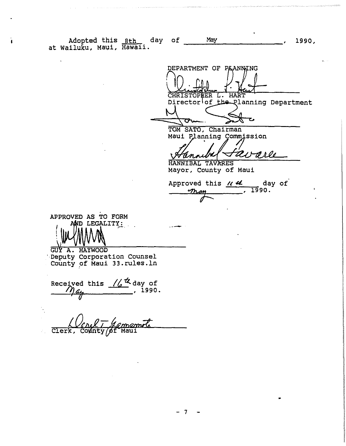Adopted this <u>8th day of May , 1990</u>, 1980, 1990, 1990, 1990, 1990, 1990, 1990, 1990, 1990, 1990, 1990, 1990, 1990,

.--

DEPARTMENT OF PAANWING CHRISTOPHER L. HART Director of the Planning Department ひ ᡡ

J.

TOM SATO, Chairman Maui Planning Commission

◢ avare annu

HANNIBAL TAV Mayor, County of Maui

Approved this <u>11 4</u> day of<br>
<u>may</u>, 1990.  $\overline{\mathscr{F}}$ 

**International Control of Control of Control of Control of Control of Control of Control of Control of Control** 

APPROVED AS TO FORM AND LEGALITY:

GUY A. HAYWOOD '·Deputy Corporation Counsel County pf Maui 33.rules.ln

Received this  $\frac{1}{4}$  day of<br> $\hat{M}_{44}$ , 1990.  $\frac{1}{9}$ 

Clerk,

- 7